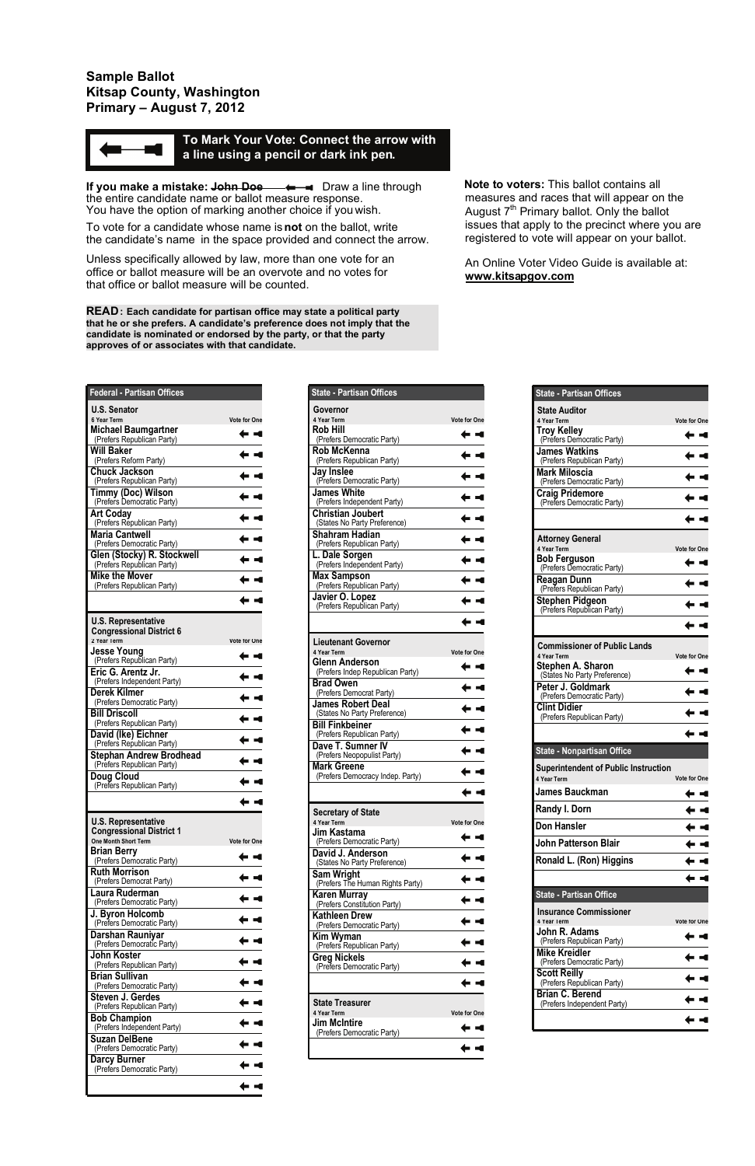| <b>State - Partisan Offices</b>                           |                     |
|-----------------------------------------------------------|---------------------|
| Governor                                                  |                     |
| 4 Year Term<br><b>Rob Hill</b>                            | Vote for One        |
| (Prefers Democratic Party)                                | . .                 |
| Rob McKenna<br>(Prefers Republican Party)                 |                     |
| Jay Inslee<br>(Prefers Democratic Party)                  |                     |
| James White<br>(Prefers Independent Party)                |                     |
| <b>Christian Joubert</b><br>(States No Party Preference)  |                     |
| Shahram Hadian<br>(Prefers Republican Party)              |                     |
| L. Dale Sorgen<br>(Prefers Independent Party)             |                     |
| <b>Max Sampson</b><br>(Prefers Republican Party)          |                     |
| Javier O. Lopez<br>(Prefers Republican Party)             |                     |
|                                                           |                     |
| <b>Lieutenant Governor</b>                                |                     |
| 4 Year Term                                               | Vote for One        |
| <b>Glenn Anderson</b><br>(Prefers Indep Republican Party) |                     |
| <b>Brad Owen</b><br>(Prefers Democrat Party)              |                     |
| <b>James Robert Deal</b><br>(States No Party Preference)  |                     |
| <b>Bill Finkbeiner</b><br>(Prefers Republican Party)      |                     |
| Dave T. Sumner IV<br>(Prefers Neopopulist Party)          |                     |
| <b>Mark Greene</b><br>(Prefers Democracy Indep. Party)    |                     |
|                                                           |                     |
| <b>Secretary of State</b>                                 |                     |
| 4 Year Term<br>Jim Kastama                                | <b>Vote for One</b> |
| (Prefers Democratic Party)                                |                     |
| David J. Anderson<br>(States No Party Preference)         |                     |
| <b>Sam Wright</b><br>(Prefers The Human Rights Party)     |                     |
| Karen Murray<br>(Prefers Constitution Party)              |                     |
| Kathleen Drew<br>(Prefers Democratic Party)               |                     |
| Kim Wyman                                                 |                     |
| (Prefers Republican Party)<br><b>Greg Nickels</b>         |                     |
|                                                           |                     |
| (Prefers Democratic Party)                                |                     |
| State Treasurer                                           |                     |
| 4 Year Term                                               | Vote for One        |
| Jim McIntire<br>(Prefers Democratic Party)                |                     |

**If you make a mistake: <del>John Doe –**  $\leftarrow$  **–</del> Draw a line through** the entire candidate name or ballot measure response. You have the option of marking another choice if you wish.

| Federal - Partisan Offices                                              |                     |
|-------------------------------------------------------------------------|---------------------|
| <b>U.S. Senator</b>                                                     |                     |
| 6 Year Term<br><b>Michael Baumgartner</b><br>(Prefers Republican Party) | <b>Vote for One</b> |
| <b>Will Baker</b>                                                       |                     |
| (Prefers Reform Party)<br><b>Chuck Jackson</b>                          |                     |
| (Prefers Republican Party)<br><b>Timmy (Doc) Wilson</b>                 |                     |
| (Prefers Democratic Party)                                              |                     |
| <b>Art Coday</b><br>(Prefers Republican Party)                          |                     |
| <b>Maria Cantwell</b><br>(Prefers Democratic Party)                     |                     |
| Glen (Stocky) R. Stockwell<br>(Prefers Republican Party)                |                     |
| <b>Mike the Mover</b><br>(Prefers Republican Party)                     |                     |
|                                                                         |                     |
| <b>U.S. Representative</b>                                              |                     |
| <b>Congressional District 6</b><br>2 Year Term                          | <b>Vote for One</b> |
| <b>Jesse Young</b><br>(Prefers Republican Party)                        |                     |
| Eric G. Arentz Jr.                                                      |                     |
| (Prefers Independent Party)<br>Derek Kilmer                             |                     |
| (Prefers Democratic Party)<br><b>Bill Driscoll</b>                      |                     |
| (Prefers Republican Party)                                              |                     |
| David (Ike) Eichner<br>(Prefers Republican Party)                       |                     |
| <b>Stephan Andrew Brodhead</b><br>(Prefers Republican Party)            |                     |
| Doug Cloud<br>(Prefers Republican Party)                                |                     |
|                                                                         |                     |
| <b>U.S. Representative</b>                                              |                     |
| <b>Congressional District 1</b><br><b>One Month Short Term</b>          | <b>Vote for One</b> |
| <b>Brian Berry</b><br>(Prefers Democratic Party)                        |                     |
| <b>Ruth Morrison</b><br>(Prefers Democrat Party)                        |                     |
| Laura Ruderman                                                          |                     |
| (Prefers Democratic Party)<br>J. Byron Holcomb                          |                     |
| (Prefers Democratic Party)<br>Darshan Rauniyar                          |                     |
| (Prefers Democratic Party)<br>John Koster                               |                     |
| (Prefers Republican Party)                                              |                     |
| <b>Brian Sullivan</b><br>(Prefers Democratic Party)                     |                     |
| <b>Steven J. Gerdes</b><br>(Prefers Republican Party)                   |                     |
| <b>Bob Champion</b><br>(Prefers Independent Party)                      |                     |
| <b>Suzan DelBene</b><br>(Prefers Democratic Party)                      |                     |
| <b>Darcy Burner</b>                                                     |                     |
| (Prefers Democratic Party)                                              |                     |
|                                                                         |                     |

| <b>State - Partisan Offices</b>                            |                     |
|------------------------------------------------------------|---------------------|
| <b>State Auditor</b>                                       |                     |
| 4 Year Term                                                | Vote for One        |
| Troy Kelley<br>(Prefers Democratic Party)                  |                     |
| <b>James Watkins</b><br>(Prefers Republican Party)         |                     |
| Mark Miloscia<br>(Prefers Democratic Party)                |                     |
| <b>Craig Pridemore</b>                                     |                     |
| (Prefers Democratic Party)                                 |                     |
|                                                            |                     |
| <b>Attorney General</b><br>4 Year Term                     | <b>Vote for One</b> |
| <b>Bob Ferguson</b>                                        |                     |
| (Prefers Democratic Party)                                 |                     |
| <b>Reagan Dunn</b><br>(Prefers Republican Party)           |                     |
| <b>Stephen Pidgeon</b><br>(Prefers Republican Party)       |                     |
|                                                            |                     |
| <b>Commissioner of Public Lands</b>                        |                     |
| 4 Year Term                                                | Vote for One        |
| Stephen A. Sharon<br>(States No Party Preference)          |                     |
| Peter J. Goldmark<br>(Prefers Democratic Party)            |                     |
| <b>Clint Didier</b><br>(Prefers Republican Party)          |                     |
|                                                            |                     |
| <b>State - Nonpartisan Office</b>                          |                     |
| <b>Superintendent of Public Instruction</b><br>4 Year Term | <b>Vote for One</b> |
| <b>James Bauckman</b>                                      |                     |
| Randy I. Dorn                                              |                     |
| <b>Don Hansler</b>                                         |                     |
| <b>John Patterson Blair</b>                                |                     |
| Ronald L. (Ron) Higgins                                    |                     |
|                                                            |                     |
| <b>State - Partisan Office</b>                             |                     |
| <b>Insurance Commissioner</b><br>4 Year Term               | Vote for One        |
| John R. Adams<br>(Prefers Republican Party)                |                     |
| <b>Mike Kreidler</b><br>(Prefers Democratic Party)         |                     |
| <b>Scott Reilly</b>                                        |                     |
| (Prefers Republican Party)<br><b>Brian C. Berend</b>       |                     |
| (Prefers Independent Party)                                |                     |
|                                                            |                     |

## **Sample Ballot Kitsap County, Washington Primary – August 7, 2012**



To vote for a candidate whose name is**not** on the ballot, write the candidate's name in the space provided and connect the arrow.

Unless specifically allowed by law, more than one vote for an office or ballot measure will be an overvote and no votes for that office or ballot measure will be counted.

**READ: Each candidate for partisan office may state a political party that he or she prefers. A candidate's preference does not imply that the candidate is nominated or endorsed by the party, or that the party approves of or associates with that candidate.**

 **Note to voters:** This ballot contains all measures and races that will appear on the August  $7<sup>th</sup>$  Primary ballot. Only the ballot issues that apply to the precinct where you are registered to vote will appear on your ballot.

An Online Voter Video Guide is available at: **www.kitsapgov.com**

## **To Mark Your Vote: Connect the arrow with a line using a pencil or dark ink pen.**